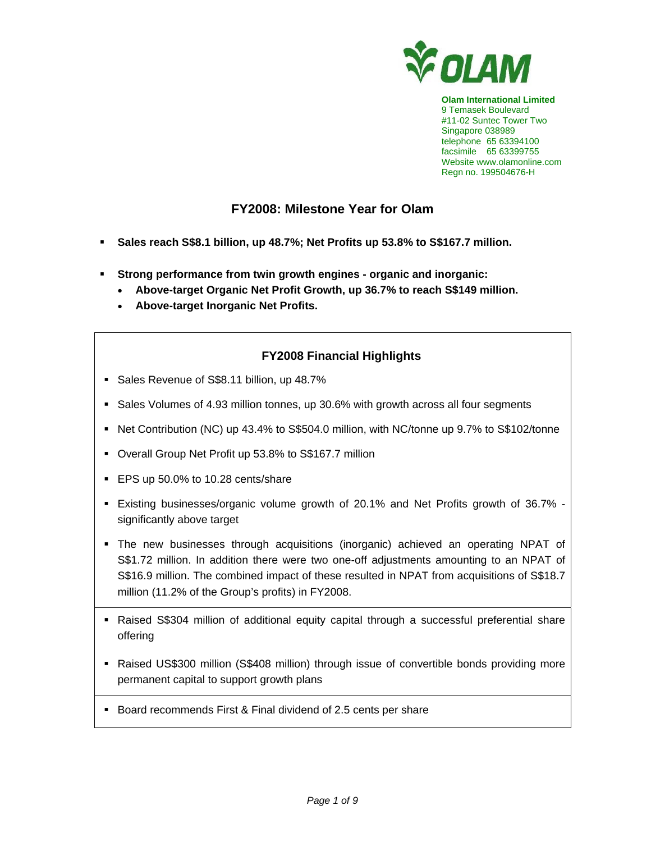

**Olam International Limited**  9 Temasek Boulevard #11-02 Suntec Tower Two Singapore 038989 telephone 65 63394100 facsimile 65 63399755 Website www.olamonline.com Regn no. 199504676-H

# **FY2008: Milestone Year for Olam**

- **Sales reach S\$8.1 billion, up 48.7%; Net Profits up 53.8% to S\$167.7 million.**
- **Strong performance from twin growth engines organic and inorganic:** 
	- **Above-target Organic Net Profit Growth, up 36.7% to reach S\$149 million.**
	- **Above-target Inorganic Net Profits.**

# **FY2008 Financial Highlights**

- Sales Revenue of S\$8.11 billion, up 48.7%
- Sales Volumes of 4.93 million tonnes, up 30.6% with growth across all four segments
- Net Contribution (NC) up 43.4% to S\$504.0 million, with NC/tonne up 9.7% to S\$102/tonne
- Overall Group Net Profit up 53.8% to S\$167.7 million
- EPS up 50.0% to 10.28 cents/share
- Existing businesses/organic volume growth of 20.1% and Net Profits growth of 36.7% significantly above target
- The new businesses through acquisitions (inorganic) achieved an operating NPAT of S\$1.72 million. In addition there were two one-off adjustments amounting to an NPAT of S\$16.9 million. The combined impact of these resulted in NPAT from acquisitions of S\$18.7 million (11.2% of the Group's profits) in FY2008.
- Raised S\$304 million of additional equity capital through a successful preferential share offering
- Raised US\$300 million (S\$408 million) through issue of convertible bonds providing more permanent capital to support growth plans
- Board recommends First & Final dividend of 2.5 cents per share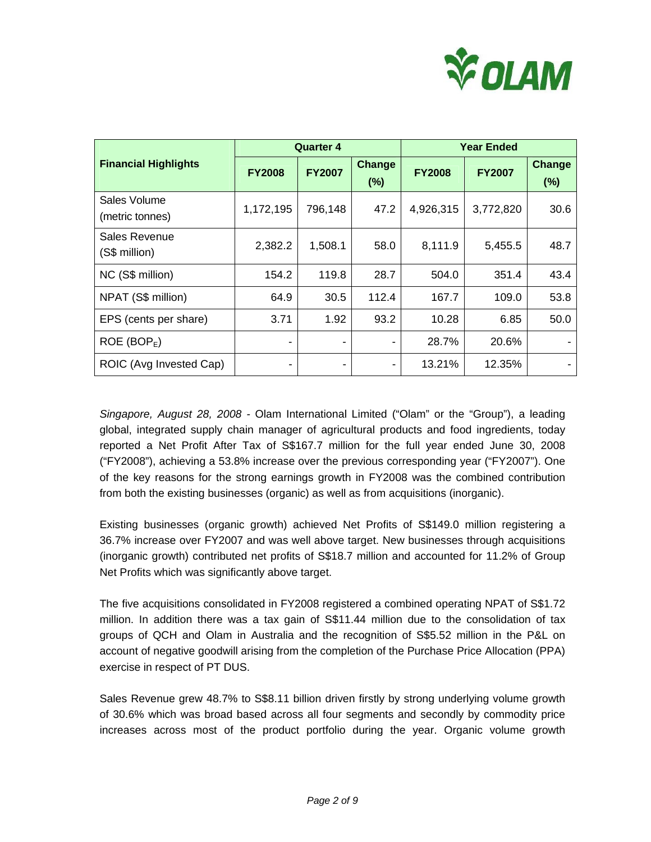

|                                 |               | <b>Quarter 4</b> |                  | <b>Year Ended</b> |               |                  |
|---------------------------------|---------------|------------------|------------------|-------------------|---------------|------------------|
| <b>Financial Highlights</b>     | <b>FY2008</b> | <b>FY2007</b>    | Change<br>$(\%)$ | <b>FY2008</b>     | <b>FY2007</b> | Change<br>$(\%)$ |
| Sales Volume<br>(metric tonnes) | 1,172,195     | 796,148          | 47.2             | 4,926,315         | 3,772,820     | 30.6             |
| Sales Revenue<br>(S\$ million)  | 2,382.2       | 1,508.1          | 58.0             | 8,111.9           | 5,455.5       | 48.7             |
| NC (S\$ million)                | 154.2         | 119.8            | 28.7             | 504.0             | 351.4         | 43.4             |
| NPAT (S\$ million)              | 64.9          | 30.5             | 112.4            | 167.7             | 109.0         | 53.8             |
| EPS (cents per share)           | 3.71          | 1.92             | 93.2             | 10.28             | 6.85          | 50.0             |
| ROE (BOP <sub>E</sub> )         |               |                  |                  | 28.7%             | 20.6%         |                  |
| ROIC (Avg Invested Cap)         | ٠             |                  | ٠                | 13.21%            | 12.35%        |                  |

*Singapore, August 28, 2008 -* Olam International Limited ("Olam" or the "Group"), a leading global, integrated supply chain manager of agricultural products and food ingredients, today reported a Net Profit After Tax of S\$167.7 million for the full year ended June 30, 2008 ("FY2008"), achieving a 53.8% increase over the previous corresponding year ("FY2007"). One of the key reasons for the strong earnings growth in FY2008 was the combined contribution from both the existing businesses (organic) as well as from acquisitions (inorganic).

Existing businesses (organic growth) achieved Net Profits of S\$149.0 million registering a 36.7% increase over FY2007 and was well above target. New businesses through acquisitions (inorganic growth) contributed net profits of S\$18.7 million and accounted for 11.2% of Group Net Profits which was significantly above target.

The five acquisitions consolidated in FY2008 registered a combined operating NPAT of S\$1.72 million. In addition there was a tax gain of S\$11.44 million due to the consolidation of tax groups of QCH and Olam in Australia and the recognition of S\$5.52 million in the P&L on account of negative goodwill arising from the completion of the Purchase Price Allocation (PPA) exercise in respect of PT DUS.

Sales Revenue grew 48.7% to S\$8.11 billion driven firstly by strong underlying volume growth of 30.6% which was broad based across all four segments and secondly by commodity price increases across most of the product portfolio during the year. Organic volume growth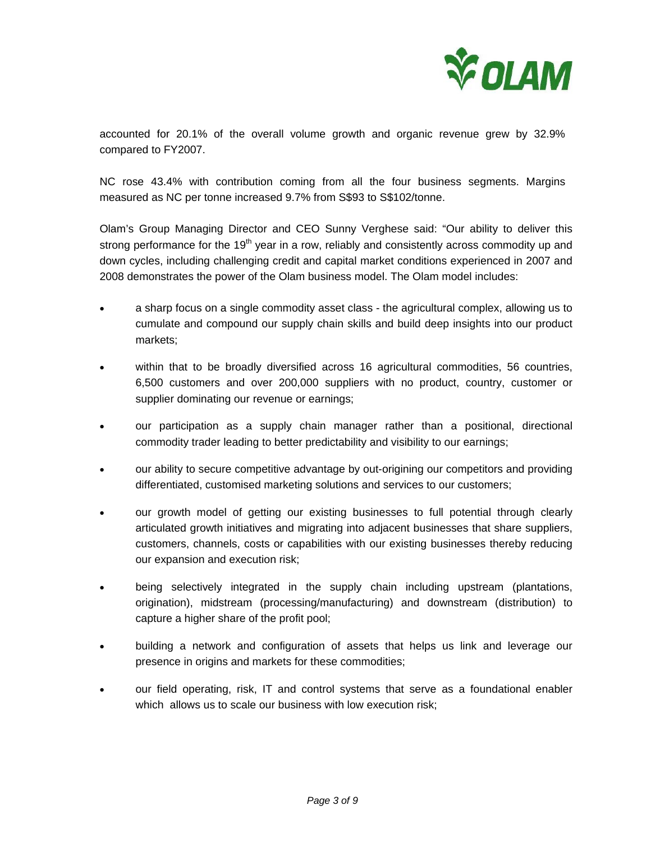

accounted for 20.1% of the overall volume growth and organic revenue grew by 32.9% compared to FY2007.

NC rose 43.4% with contribution coming from all the four business segments. Margins measured as NC per tonne increased 9.7% from S\$93 to S\$102/tonne.

Olam's Group Managing Director and CEO Sunny Verghese said: "Our ability to deliver this strong performance for the 19<sup>th</sup> year in a row, reliably and consistently across commodity up and down cycles, including challenging credit and capital market conditions experienced in 2007 and 2008 demonstrates the power of the Olam business model. The Olam model includes:

- a sharp focus on a single commodity asset class the agricultural complex, allowing us to cumulate and compound our supply chain skills and build deep insights into our product markets;
- within that to be broadly diversified across 16 agricultural commodities, 56 countries, 6,500 customers and over 200,000 suppliers with no product, country, customer or supplier dominating our revenue or earnings;
- our participation as a supply chain manager rather than a positional, directional commodity trader leading to better predictability and visibility to our earnings;
- our ability to secure competitive advantage by out-origining our competitors and providing differentiated, customised marketing solutions and services to our customers;
- our growth model of getting our existing businesses to full potential through clearly articulated growth initiatives and migrating into adjacent businesses that share suppliers, customers, channels, costs or capabilities with our existing businesses thereby reducing our expansion and execution risk;
- being selectively integrated in the supply chain including upstream (plantations, origination), midstream (processing/manufacturing) and downstream (distribution) to capture a higher share of the profit pool;
- building a network and configuration of assets that helps us link and leverage our presence in origins and markets for these commodities;
- our field operating, risk, IT and control systems that serve as a foundational enabler which allows us to scale our business with low execution risk;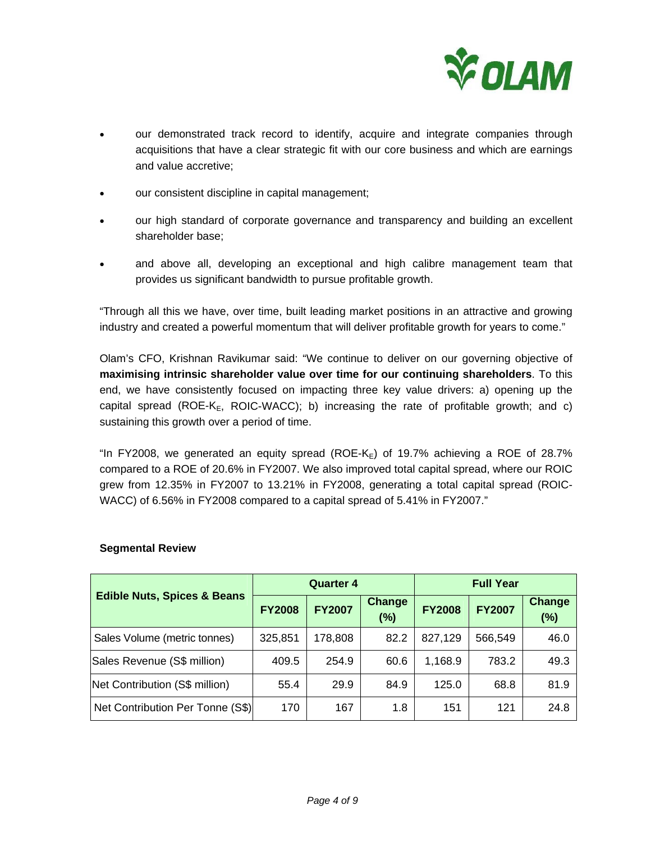

- our demonstrated track record to identify, acquire and integrate companies through acquisitions that have a clear strategic fit with our core business and which are earnings and value accretive;
- our consistent discipline in capital management;
- our high standard of corporate governance and transparency and building an excellent shareholder base;
- and above all, developing an exceptional and high calibre management team that provides us significant bandwidth to pursue profitable growth.

"Through all this we have, over time, built leading market positions in an attractive and growing industry and created a powerful momentum that will deliver profitable growth for years to come."

Olam's CFO, Krishnan Ravikumar said: "We continue to deliver on our governing objective of **maximising intrinsic shareholder value over time for our continuing shareholders**. To this end, we have consistently focused on impacting three key value drivers: a) opening up the capital spread (ROE-K<sub>E</sub>, ROIC-WACC); b) increasing the rate of profitable growth; and c) sustaining this growth over a period of time.

"In FY2008, we generated an equity spread (ROE-K<sub>E</sub>) of 19.7% achieving a ROE of 28.7% compared to a ROE of 20.6% in FY2007. We also improved total capital spread, where our ROIC grew from 12.35% in FY2007 to 13.21% in FY2008, generating a total capital spread (ROIC-WACC) of 6.56% in FY2008 compared to a capital spread of 5.41% in FY2007."

|                                        |               | <b>Quarter 4</b> |                         | <b>Full Year</b> |               |                      |
|----------------------------------------|---------------|------------------|-------------------------|------------------|---------------|----------------------|
| <b>Edible Nuts, Spices &amp; Beans</b> | <b>FY2008</b> | <b>FY2007</b>    | <b>Change</b><br>$(\%)$ | <b>FY2008</b>    | <b>FY2007</b> | <b>Change</b><br>(%) |
| Sales Volume (metric tonnes)           | 325,851       | 178,808          | 82.2                    | 827,129          | 566,549       | 46.0                 |
| Sales Revenue (S\$ million)            | 409.5         | 254.9            | 60.6                    | 1,168.9          | 783.2         | 49.3                 |
| Net Contribution (S\$ million)         | 55.4          | 29.9             | 84.9                    | 125.0            | 68.8          | 81.9                 |
| Net Contribution Per Tonne (S\$)       | 170           | 167              | 1.8                     | 151              | 121           | 24.8                 |

# **Segmental Review**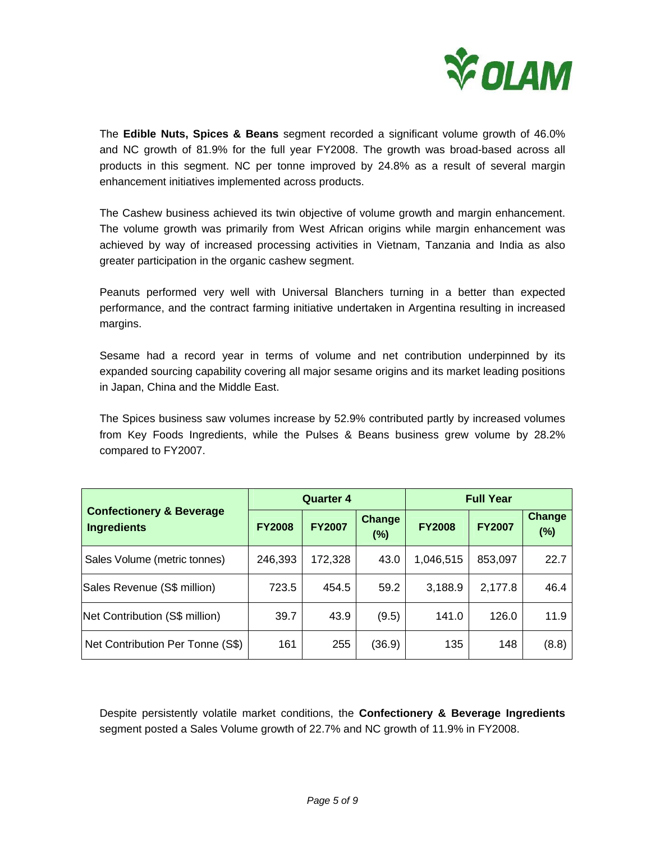

The **Edible Nuts, Spices & Beans** segment recorded a significant volume growth of 46.0% and NC growth of 81.9% for the full year FY2008. The growth was broad-based across all products in this segment. NC per tonne improved by 24.8% as a result of several margin enhancement initiatives implemented across products.

The Cashew business achieved its twin objective of volume growth and margin enhancement. The volume growth was primarily from West African origins while margin enhancement was achieved by way of increased processing activities in Vietnam, Tanzania and India as also greater participation in the organic cashew segment.

Peanuts performed very well with Universal Blanchers turning in a better than expected performance, and the contract farming initiative undertaken in Argentina resulting in increased margins.

Sesame had a record year in terms of volume and net contribution underpinned by its expanded sourcing capability covering all major sesame origins and its market leading positions in Japan, China and the Middle East.

The Spices business saw volumes increase by 52.9% contributed partly by increased volumes from Key Foods Ingredients, while the Pulses & Beans business grew volume by 28.2% compared to FY2007.

|                                                           |               | <b>Quarter 4</b> |                         | <b>Full Year</b> |               |                      |
|-----------------------------------------------------------|---------------|------------------|-------------------------|------------------|---------------|----------------------|
| <b>Confectionery &amp; Beverage</b><br><b>Ingredients</b> | <b>FY2008</b> | <b>FY2007</b>    | <b>Change</b><br>$(\%)$ | <b>FY2008</b>    | <b>FY2007</b> | <b>Change</b><br>(%) |
| Sales Volume (metric tonnes)                              | 246,393       | 172,328          | 43.0                    | 1,046,515        | 853,097       | 22.7                 |
| Sales Revenue (S\$ million)                               | 723.5         | 454.5            | 59.2                    | 3,188.9          | 2,177.8       | 46.4                 |
| Net Contribution (S\$ million)                            | 39.7          | 43.9             | (9.5)                   | 141.0            | 126.0         | 11.9                 |
| Net Contribution Per Tonne (S\$)                          | 161           | 255              | (36.9)                  | 135              | 148           | (8.8)                |

Despite persistently volatile market conditions, the **Confectionery & Beverage Ingredients** segment posted a Sales Volume growth of 22.7% and NC growth of 11.9% in FY2008.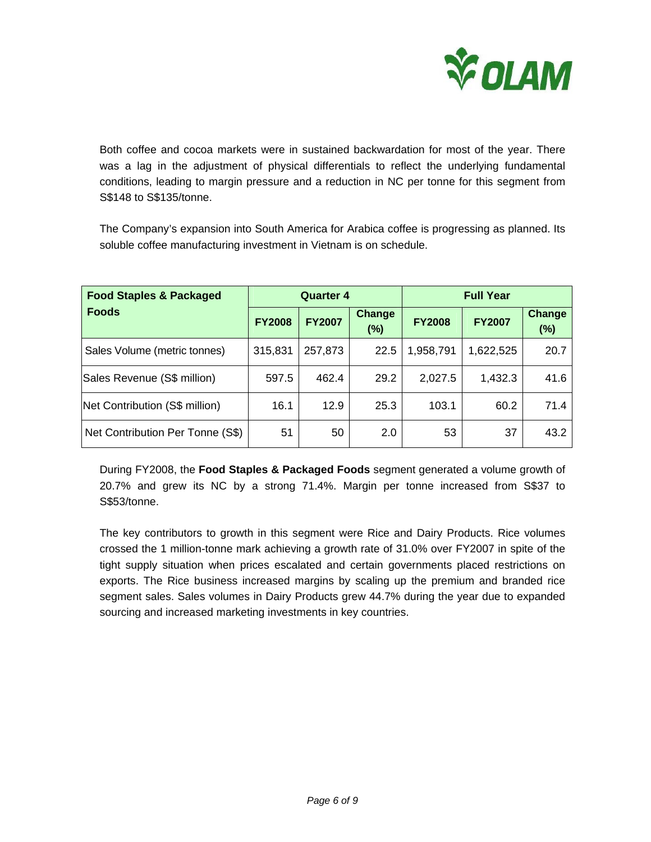

Both coffee and cocoa markets were in sustained backwardation for most of the year. There was a lag in the adjustment of physical differentials to reflect the underlying fundamental conditions, leading to margin pressure and a reduction in NC per tonne for this segment from S\$148 to S\$135/tonne.

The Company's expansion into South America for Arabica coffee is progressing as planned. Its soluble coffee manufacturing investment in Vietnam is on schedule.

| <b>Food Staples &amp; Packaged</b> | <b>Quarter 4</b> |               |                         | <b>Full Year</b> |               |                         |
|------------------------------------|------------------|---------------|-------------------------|------------------|---------------|-------------------------|
| <b>Foods</b>                       | <b>FY2008</b>    | <b>FY2007</b> | <b>Change</b><br>$(\%)$ | <b>FY2008</b>    | <b>FY2007</b> | <b>Change</b><br>$(\%)$ |
| Sales Volume (metric tonnes)       | 315,831          | 257,873       | 22.5                    | 1,958,791        | 1,622,525     | 20.7                    |
| Sales Revenue (S\$ million)        | 597.5            | 462.4         | 29.2                    | 2,027.5          | 1,432.3       | 41.6                    |
| Net Contribution (S\$ million)     | 16.1             | 12.9          | 25.3                    | 103.1            | 60.2          | 71.4                    |
| Net Contribution Per Tonne (S\$)   | 51               | 50            | 2.0                     | 53               | 37            | 43.2                    |

During FY2008, the **Food Staples & Packaged Foods** segment generated a volume growth of 20.7% and grew its NC by a strong 71.4%. Margin per tonne increased from S\$37 to S\$53/tonne.

The key contributors to growth in this segment were Rice and Dairy Products. Rice volumes crossed the 1 million-tonne mark achieving a growth rate of 31.0% over FY2007 in spite of the tight supply situation when prices escalated and certain governments placed restrictions on exports. The Rice business increased margins by scaling up the premium and branded rice segment sales. Sales volumes in Dairy Products grew 44.7% during the year due to expanded sourcing and increased marketing investments in key countries.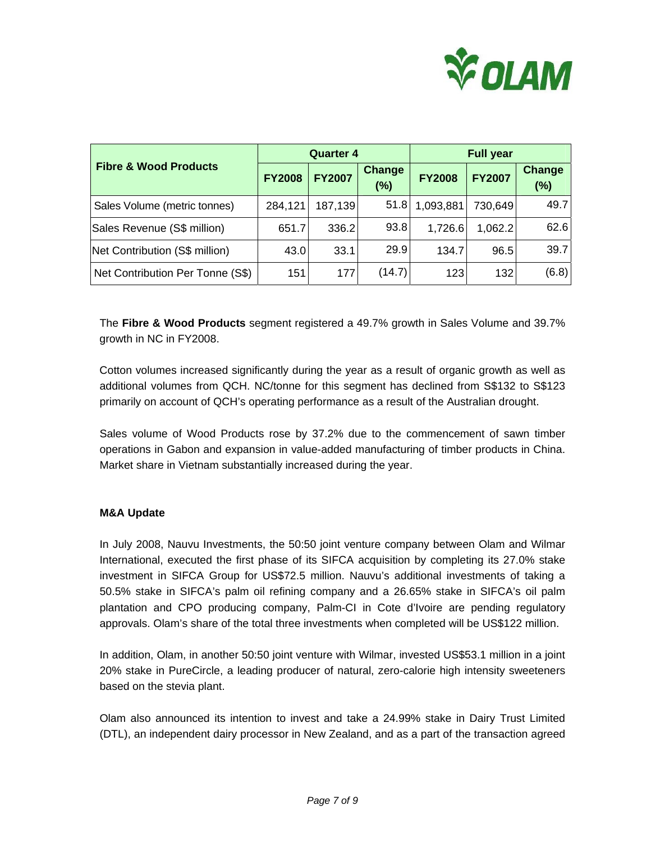

|                                  |               | <b>Quarter 4</b> |                      | <b>Full year</b> |               |                         |
|----------------------------------|---------------|------------------|----------------------|------------------|---------------|-------------------------|
| <b>Fibre &amp; Wood Products</b> | <b>FY2008</b> | <b>FY2007</b>    | <b>Change</b><br>(%) | <b>FY2008</b>    | <b>FY2007</b> | <b>Change</b><br>$(\%)$ |
| Sales Volume (metric tonnes)     | 284,121       | 187,139          | 51.8                 | 1,093,881        | 730,649       | 49.7                    |
| Sales Revenue (S\$ million)      | 651.7         | 336.2            | 93.8                 | 1,726.6          | 1,062.2       | 62.6                    |
| Net Contribution (S\$ million)   | 43.0          | 33.1             | 29.9                 | 134.7            | 96.5          | 39.7                    |
| Net Contribution Per Tonne (S\$) | 151           | 177              | (14.7)               | 123              | 132           | (6.8)                   |

The **Fibre & Wood Products** segment registered a 49.7% growth in Sales Volume and 39.7% growth in NC in FY2008.

Cotton volumes increased significantly during the year as a result of organic growth as well as additional volumes from QCH. NC/tonne for this segment has declined from S\$132 to S\$123 primarily on account of QCH's operating performance as a result of the Australian drought.

Sales volume of Wood Products rose by 37.2% due to the commencement of sawn timber operations in Gabon and expansion in value-added manufacturing of timber products in China. Market share in Vietnam substantially increased during the year.

### **M&A Update**

In July 2008, Nauvu Investments, the 50:50 joint venture company between Olam and Wilmar International, executed the first phase of its SIFCA acquisition by completing its 27.0% stake investment in SIFCA Group for US\$72.5 million. Nauvu's additional investments of taking a 50.5% stake in SIFCA's palm oil refining company and a 26.65% stake in SIFCA's oil palm plantation and CPO producing company, Palm-CI in Cote d'Ivoire are pending regulatory approvals. Olam's share of the total three investments when completed will be US\$122 million.

In addition, Olam, in another 50:50 joint venture with Wilmar, invested US\$53.1 million in a joint 20% stake in PureCircle, a leading producer of natural, zero-calorie high intensity sweeteners based on the stevia plant.

Olam also announced its intention to invest and take a 24.99% stake in Dairy Trust Limited (DTL), an independent dairy processor in New Zealand, and as a part of the transaction agreed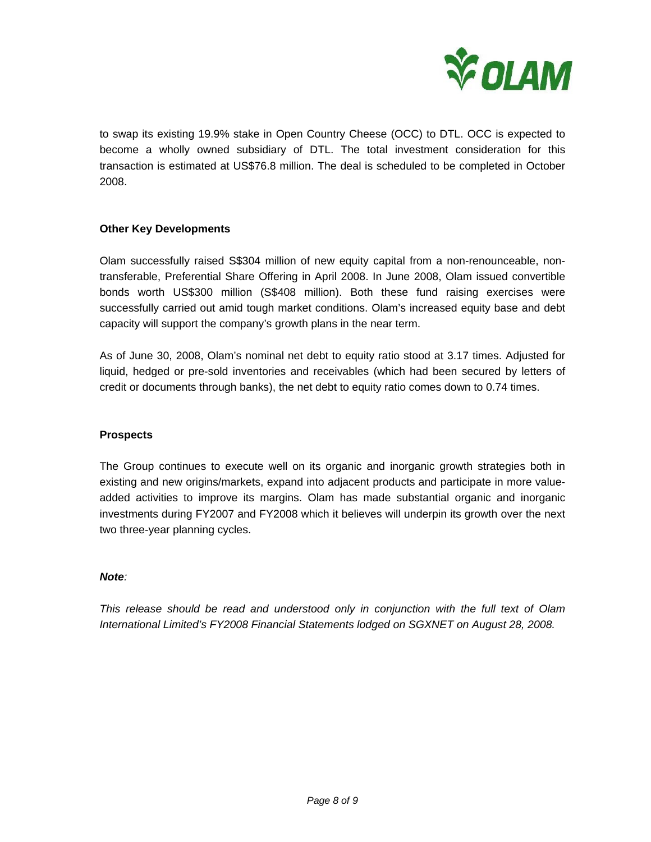

to swap its existing 19.9% stake in Open Country Cheese (OCC) to DTL. OCC is expected to become a wholly owned subsidiary of DTL. The total investment consideration for this transaction is estimated at US\$76.8 million. The deal is scheduled to be completed in October 2008.

## **Other Key Developments**

Olam successfully raised S\$304 million of new equity capital from a non-renounceable, nontransferable, Preferential Share Offering in April 2008. In June 2008, Olam issued convertible bonds worth US\$300 million (S\$408 million). Both these fund raising exercises were successfully carried out amid tough market conditions. Olam's increased equity base and debt capacity will support the company's growth plans in the near term.

As of June 30, 2008, Olam's nominal net debt to equity ratio stood at 3.17 times. Adjusted for liquid, hedged or pre-sold inventories and receivables (which had been secured by letters of credit or documents through banks), the net debt to equity ratio comes down to 0.74 times.

### **Prospects**

The Group continues to execute well on its organic and inorganic growth strategies both in existing and new origins/markets, expand into adjacent products and participate in more valueadded activities to improve its margins. Olam has made substantial organic and inorganic investments during FY2007 and FY2008 which it believes will underpin its growth over the next two three-year planning cycles.

#### *Note:*

*This release should be read and understood only in conjunction with the full text of Olam International Limited's FY2008 Financial Statements lodged on SGXNET on August 28, 2008.*